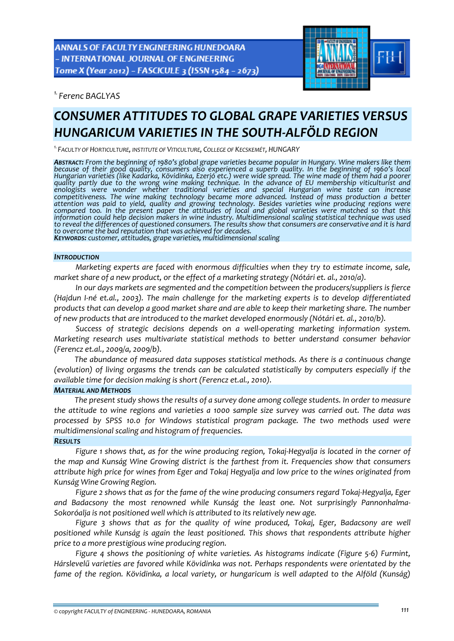**ANNALS OF FACULTY ENGINEERING HUNEDOARA** - INTERNATIONAL JOURNAL OF ENGINEERING Tome X (Year 2012) - FASCICULE 3 (ISSN 1584 - 2673)



*1. Ferenc BAGLYAS* 

# *CONSUMER ATTITUDES TO GLOBAL GRAPE VARIETIES VERSUS HUNGARICUM VARIETIES IN THE SOUTH‐ALFÖLD REGION*

*1.FACULTY OF HORTICULTURE, INSTITUTE OF VITICULTURE, COLLEGE OF KECSKEMÉT, HUNGARY*

ABSTRACT: From the beginning of 1980's global grape varieties became popular in Hungary. Wine makers like them because of their good quality, consumers also experienced a superb quality. In the beginning of 1960's local<br>Hungarian varieties (like Kadarka, Kövidinka, Ezerjó etc.) were wide spread. The wine made of them had a poore Hungarian varieties (like Kadarka, Kövidinka, Ezerjó etc.) were wide spread. The wine made of them had a poorer<br>quality partly due to the wrong wine making technique. In the advance of EU membership viticulturist and *enologists were wonder whether traditional varieties and special Hungarian wine taste can increase competitiveness. The wine making technology became more advanced. Instead of mass production a better attention was paid to yield, quality and growing technology. Besides varieties wine producing regions were* compared too. In the present paper the attitudes of local and global varieties were matched so that this *information could help decision makers in wine industry. Multidimensional scaling statistical technique was used* to reveal the differences of questioned consumers. The results show that consumers are conservative and it is hard<br>to overcome the bad reputation that was achieved for decades.

KEYWORDS: customer, attitudes, grape varieties, multidimensional scaling

#### *INTRODUCTION*

*Marketing experts are faced with enormous difficulties when they try to estimate income, sale, market share of a new product, or the effect of a marketing strategy (Nótári et. al., 2010/a).*

*In our days markets are segmented and the competition between the producers/suppliers is fierce (Hajdun I‐né et.al., 2003). The main challenge for the marketing experts is to develop differentiated* products that can develop a good market share and are able to keep their marketing share. The number *of new products that are introduced to the market developed enormously (Nótári et. al., 2010/b).*

*Success of strategic decisions depends on a well‐operating marketing information system. Marketing research uses multivariate statistical methods to better understand consumer behavior (Ferencz et.al., 2009/a, 2009/b).*

*The abundance of measured data supposes statistical methods. As there is a continuous change (evolution) of living orgasms the trends can be calculated statistically by computers especially if the available time for decision making is short (Ferencz et.al., 2010).*

# *MATERIAL AND METHODS*

*The present study shows the results of a survey done among college students. In order to measure the attitude to wine regions and varieties a 1000 sample size survey was carried out. The data was processed by SPSS 10.0 for Windows statistical program package. The two methods used were multidimensional scaling and histogram of frequencies.*

## *RESULTS*

Figure 1 shows that, as for the wine producing region, Tokaj-Hegyalja is located in the corner of *the map and Kunság Wine Growing district is the farthest from it. Frequencies show that consumers* attribute high price for wines from Eger and Tokai Hegyalia and low price to the wines originated from *Kunság Wine Growing Region.*

*Figure 2 shows that as for the fame of the wine producing consumers regard Tokaj‐Hegyalja, Eger and Badacsony the most renowned while Kunság the least one. Not surprisingly Pannonhalma‐ Sokoróalja is not positioned well which is attributed to its relatively new age.*

*Figure 3 shows that as for the quality of wine produced, Tokaj, Eger, Badacsony are well positioned while Kunság is again the least positioned. This shows that respondents attribute higher price to a more prestigious wine producing region.*

*Figure 4 shows the positioning of white varieties. As histograms indicate (Figure 5‐6) Furmint, Hárslevelű varieties are favored while Kövidinka was not. Perhaps respondents were orientated by the fame of the region. Kövidinka, a local variety, or hungaricum is well adapted to the Alföld (Kunság)*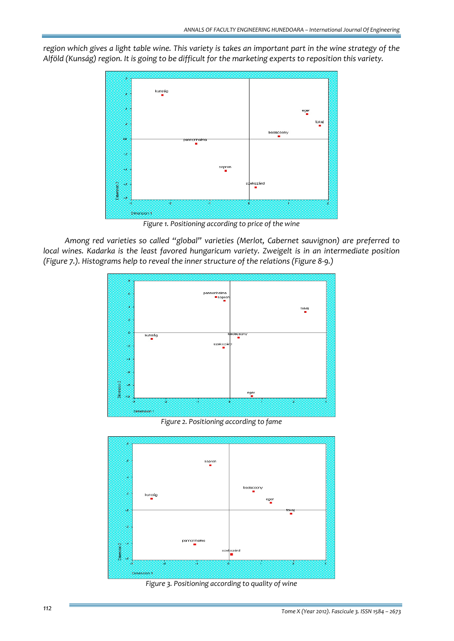region which gives a light table wine. This variety is takes an important part in the wine strategy of the *Alföld (Kunság) region. It is going to be difficult for the marketing experts to reposition this variety.*



*Figure 1. Positioning according to price of the wine*

*Among red varieties so called "global" varieties (Merlot, Cabernet sauvignon) are preferred to local wines. Kadarka is the least favored hungaricum variety. Zweigelt is in an intermediate position (Figure 7.). Histograms help to reveal the inner structure of the relations (Figure 8‐9.)*



*Figure 2. Positioning according to fame*



*Figure 3. Positioning according to quality of wine*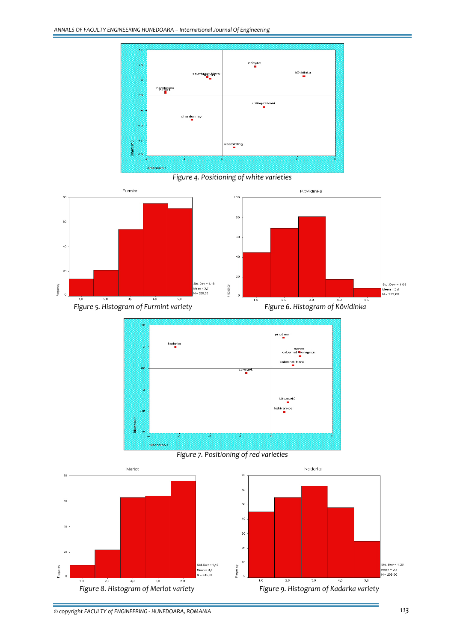

*Figure 4. Positioning of white varieties*





*Figure 7. Positioning of red varieties*